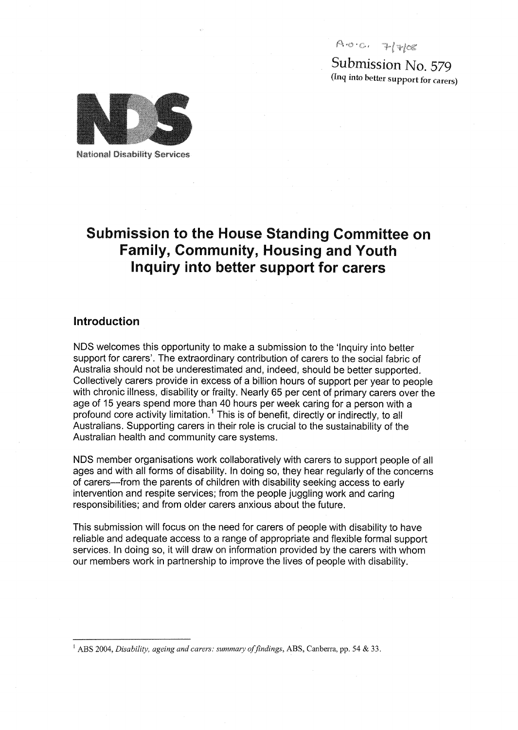**f\ .& •**

Submission No. 579 (Inq into better support for carers)



**National Disability Services** 

# Submission to the House Standing Committee on Family, Community, Housing and Youth Inquiry into better support for carers

# Introduction

NDS welcomes this opportunity to make a submission to the 'Inquiry into better support for carers'. The extraordinary contribution of carers to the social fabric of Australia should not be underestimated and, indeed, should be better supported. Collectively carers provide in excess of a billion hours of support per year to people with chronic illness, disability or frailty. Nearly 65 per cent of primary carers over the age of 15 years spend more than 40 hours per week caring for a person with a profound core activity limitation.<sup>1</sup> This is of benefit, directly or indirectly, to all Australians. Supporting carers in their role is crucial to the sustainability of the Australian health and community care systems.

NDS member organisations work collaboratively with carers to support people of all ages and with all forms of disability. In doing so, they hear regularly of the concerns of carers—from the parents of children with disability seeking access to early intervention and respite services; from the people juggling work and caring responsibilities; and from older carers anxious about the future.

This submission will focus on the need for carers of people with disability to have reliable and adequate access to a range of appropriate and flexible formal support services. In doing so, it will draw on information provided by the carers with whom our members work in partnership to improve the lives of people with disability.

ABS 2004, *Disability, ageing and carers: summary of findings,* ABS, Canberra, pp. 54 & 33.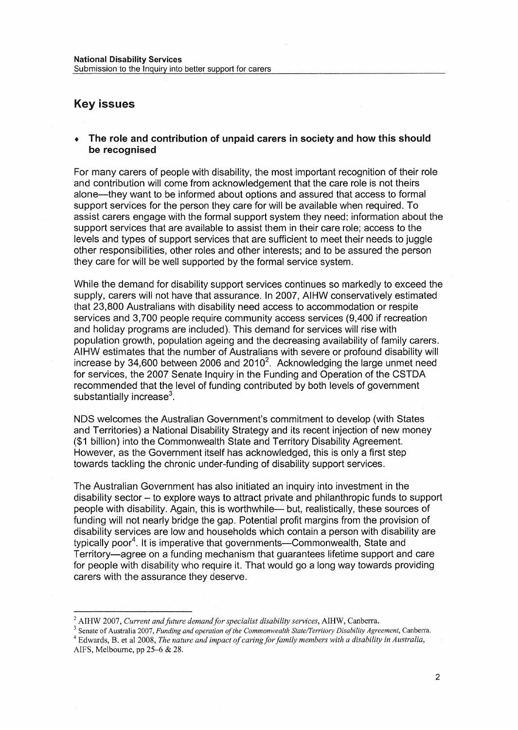# Key issues

#### • The role and contribution of unpaid carers in society and how this should be recognised

For many carers of people with disability, the most important recognition of their role and contribution will come from acknowledgement that the care role is not theirs alone—they want to be informed about options and assured that access to formal support services for the person they care for will be available when required. To assist carers engage with the formal support system they need: information about the support services that are available to assist them in their care role; access to the levels and types of support services that are sufficient to meet their needs to juggle other responsibilities, other roles and other interests; and to be assured the person they care for will be well supported by the formal service system.

While the demand for disability support services continues so markedly to exceed the supply, carers will not have that assurance. In 2007, AIHW conservatively estimated that 23,800 Australians with disability need access to accommodation or respite services and 3,700 people require community access services (9,400 if recreation and holiday programs are included). This demand for services will rise with population growth, population ageing and the decreasing availability of family carers. AIHW estimates that the number of Australians with severe or profound disability will increase by 34,600 between 2006 and 2010<sup>2</sup>. Acknowledging the large unmet need for services, the 2007 Senate Inquiry in the Funding and Operation of the CSTDA recommended that the level of funding contributed by both levels of government substantially increase<sup>3</sup>.

NDS welcomes the Australian Government's commitment to develop (with States and Territories) a National Disability Strategy and its recent injection of new money (\$1 billion) into the Commonwealth State and Territory Disability Agreement. However, as the Government itself has acknowledged, this is only a first step towards tackling the chronic under-funding of disability support services.

The Australian Government has also initiated an inquiry into investment in the disability sector - to explore ways to attract private and philanthropic funds to support people with disability. Again, this is worthwhile— but, realistically, these sources of funding will not nearly bridge the gap. Potential profit margins from the provision of disability services are low and households which contain a person with disability are typically poor<sup>4</sup>. It is imperative that governments—Commonwealth, State and Territory—agree on a funding mechanism that guarantees lifetime support and care for people with disability who require it. That would go a long way towards providing carers with the assurance they deserve.

<sup>2</sup> AIHW 2007, *Current and future demand for specialist disability services,* AIHW, Canberra.

<sup>3</sup> Senate of Australia 2007, *Funding and operation of the Commonwealth State/Territory Disability Agreement,* Canberra. 4 Edwards, B. et al 2008, *The nature and impact of caring for family members with a disability in Australia,* AIFS, Melbourne, pp 25-6 & 28.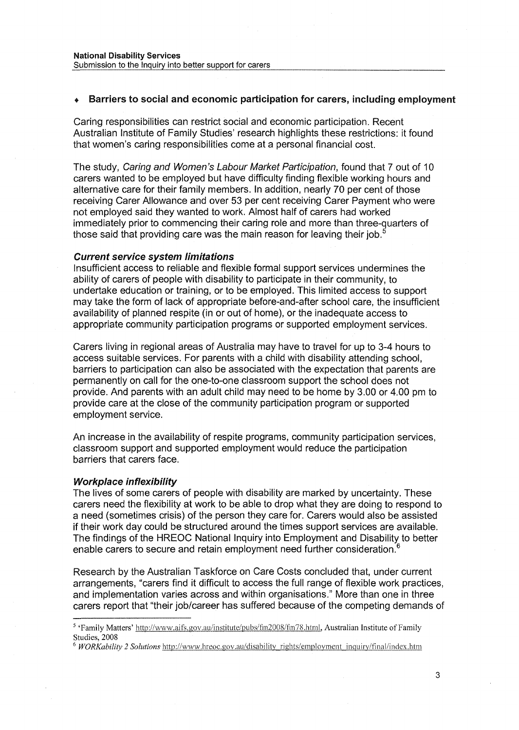# • Barriers to social and economic participation for carers, including employment

Caring responsibilities can restrict social and economic participation. Recent Australian Institute of Family Studies' research highlights these restrictions: it found that women's caring responsibilities come at a personal financial cost.

The study, Caring and Women's Labour Market Participation, found that 7 out of 10 carers wanted to be employed but have difficulty finding flexible working hours and alternative care for their family members. In addition, nearly 70 per cent of those receiving Carer Allowance and over 53 per cent receiving Carer Payment who were not employed said they wanted to work. Almost half of carers had worked immediately prior to commencing their caring role and more than three-quarters of those said that providing care was the main reason for leaving their job.<sup>5</sup>

#### Current service system limitations

Insufficient access to reliable and flexible formal support services undermines the ability of carers of people with disability to participate in their community, to undertake education or training, or to be employed. This limited access to support may take the form of lack of appropriate before-and-after school care, the insufficient availability of planned respite (in or out of home), or the inadequate access to appropriate community participation programs or supported employment services.

Carers living in regional areas of Australia may have to travel for up to 3-4 hours to access suitable services. For parents with a child with disability attending school, barriers to participation can also be associated with the expectation that parents are permanently on call for the one-to-one classroom support the school does not provide. And parents with an adult child may need to be home by 3.00 or 4.00 pm to provide care at the close of the community participation program or supported employment service.

An increase in the availability of respite programs, community participation services, classroom support and supported employment would reduce the participation barriers that carers face.

## Workplace inflexibility

The lives of some carers of people with disability are marked by uncertainty. These carers need the flexibility at work to be able to drop what they are doing to respond to a need (sometimes crisis) of the person they care for. Carers would also be assisted if their work day could be structured around the times support services are available. The findings of the HREOC National Inquiry into Employment and Disability to better enable carers to secure and retain employment need further consideration.<sup>6</sup>

Research by the Australian Taskforce on Care Costs concluded that, under current arrangements, "carers find it difficult to access the full range of flexible work practices, and implementation varies across and within organisations." More than one in three carers report that "their job/career has suffered because of the competing demands of

<sup>&</sup>lt;sup>5</sup> 'Family Matters' http://www.aifs.gov.au/institute/pubs/fm2008/fm78.html, Australian Institute of Family Studies, 2008

<sup>6</sup>  *WORKability 2 Solutions* http://www.hreoc.gov.au/disability\_rights/employment\_inquiry/final/iridex.htm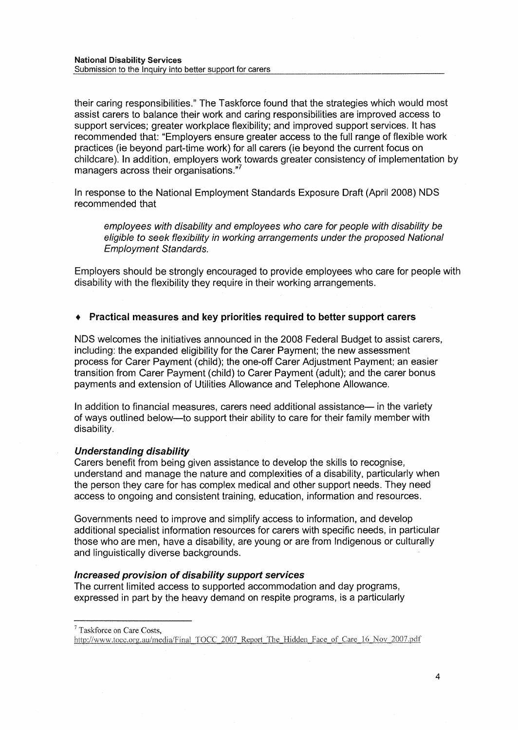National Disability Services Submission to the Inquiry into better support for carers

their caring responsibilities." The Taskforce found that the strategies which would most assist carers to balance their work and caring responsibilities are improved access to support services; greater workplace flexibility; and improved support services. It has recommended that: "Employers ensure greater access to the full range of flexible work practices (ie beyond part-time work) for all carers (ie beyond the current focus on childcare). In addition, employers work towards greater consistency of implementation by managers across their organisations."

In response to the National Employment Standards Exposure Draft (April 2008) NDS recommended that

employees with disability and employees who care for people with disability be eligible to seek flexibility in working arrangements under the proposed National Employment Standards.

Employers should be strongly encouraged to provide employees who care for people with disability with the flexibility they require in their working arrangements.

#### • Practical measures and key priorities required to better support carers

NDS welcomes the initiatives announced in the 2008 Federal Budget to assist carers, including: the expanded eligibility for the Carer Payment; the new assessment process for Carer Payment (child); the one-off Carer Adjustment Payment; an easier transition from Carer Payment (child) to Carer Payment (adult); and the carer bonus payments and extension of Utilities Allowance and Telephone Allowance.

In addition to financial measures, carers need additional assistance— in the variety of ways outlined below—to support their ability to care for their family member with disability.

#### Understanding disability

Carers benefit from being given assistance to develop the skills to recognise, understand and manage the nature and complexities of a disability, particularly when the person they care for has complex medical and other support needs. They need access to ongoing and consistent training, education, information and resources.

Governments need to improve and simplify access to information, and develop additional specialist information resources for carers with specific needs, in particular those who are men, have a disability, are young or are from Indigenous or culturally and linguistically diverse backgrounds.

#### Increased provision of disability support services

The current limited access to supported accommodation and day programs, expressed in part by the heavy demand on respite programs, is a particularly

**Taskforce on Care Costs,**

http://www.tocc.org.au/media/Final\_TOCC\_2007\_Report\_The\_Hidden\_Face\_of\_Care\_16\_Nov\_2007.pdf

 $\overline{4}$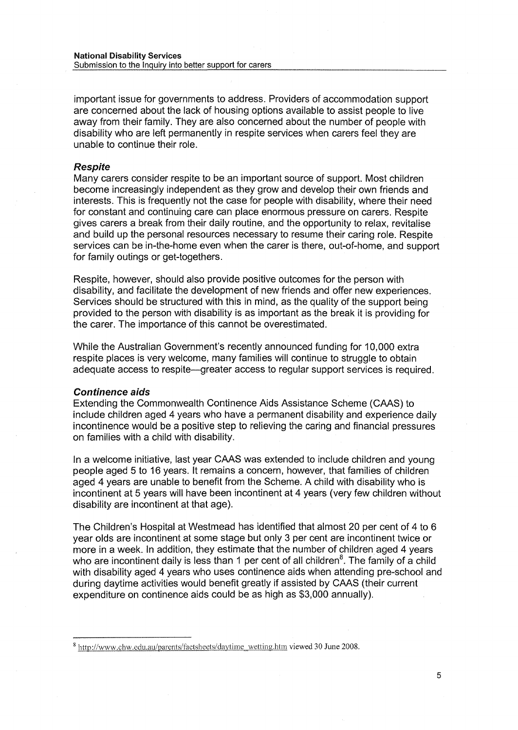important issue for governments to address. Providers of accommodation support are concerned about the lack of housing options available to assist people to live away from their family. They are also concerned about the number of people with disability who are left permanently in respite services when carers feel they are unable to continue their role.

#### Respite

Many carers consider respite to be an important source of support. Most children become increasingly independent as they grow and develop their own friends and interests. This is frequently not the case for people with disability, where their need for constant and continuing care can place enormous pressure on carers. Respite gives carers a break from their daily routine, and the opportunity to relax, revitalise and build up the personal resources necessary to resume their caring role. Respite services can be in-the-home even when the carer is there, out-of-home, and support for family outings or get-togethers.

Respite, however, should also provide positive outcomes for the person with disability, and facilitate the development of new friends and offer new experiences. Services should be structured with this in mind, as the quality of the support being provided to the person with disability is as important as the break it is providing for the carer. The importance of this cannot be overestimated.

While the Australian Government's recently announced funding for 10,000 extra respite places is very welcome, many families will continue to struggle to obtain adequate access to respite—greater access to regular support services is required.

#### Continence aids

Extending the Commonwealth Continence Aids Assistance Scheme (CAAS) to include children aged 4 years who have a permanent disability and experience daily incontinence would be a positive step to relieving the caring and financial pressures on families with a child with disability.

In a welcome initiative, last year CAAS was extended to include children and young people aged 5 to 16 years. It remains a concern, however, that families of children aged 4 years are unable to benefit from the Scheme. A child with disability who is incontinent at 5 years will have been incontinent at 4 years (very few children without disability are incontinent at that age).

The Children's Hospital at Westmead has identified that almost 20 per cent of 4 to 6 year olds are incontinent at some stage but only 3 per cent are incontinent twice or more in a week. In addition, they estimate that the number of children aged 4 years who are incontinent daily is less than 1 per cent of all children<sup>8</sup>. The family of a child with disability aged 4 years who uses continence aids when attending pre-school and during daytime activities would benefit greatly if assisted by CAAS (their current expenditure on continence aids could be as high as \$3,000 annually).

<sup>&</sup>lt;sup>3</sup> http://www.chw.edu.au/parents/factsheets/daytime\_wetting.htm viewed 30 June 2008.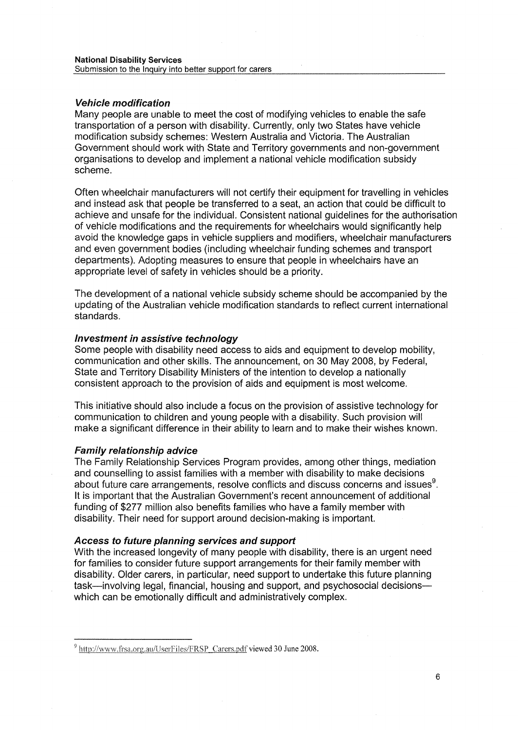# Vehicle modification

Many people are unable to meet the cost of modifying vehicles to enable the safe transportation of a person with disability. Currently, only two States have vehicle modification subsidy schemes: Western Australia and Victoria. The Australian Government should work with State and Territory governments and non-government organisations to develop and implement a national vehicle modification subsidy scheme.

Often wheelchair manufacturers will not certify their equipment for travelling in vehicles and instead ask that people be transferred to a seat, an action that could be difficult to achieve and unsafe for the individual. Consistent national guidelines for the authorisation of vehicle modifications and the requirements for wheelchairs would significantly help avoid the knowledge gaps in vehicle suppliers and modifiers, wheelchair manufacturers and even government bodies (including wheelchair funding schemes and transport departments). Adopting measures to ensure that people in wheelchairs have an appropriate level of safety in vehicles should be a priority.

The development of a national vehicle subsidy scheme should be accompanied by the updating of the Australian vehicle modification standards to reflect current international standards.

## Investment in assistive technology

Some people with disability need access to aids and equipment to develop mobility, communication and other skills. The announcement, on 30 May 2008, by Federal, State and Territory Disability Ministers of the intention to develop a nationally consistent approach to the provision of aids and equipment is most welcome.

This initiative should also include a focus on the provision of assistive technology for communication to children and young people with a disability. Such provision will make a significant difference in their ability to learn and to make their wishes known.

## Family relationship advice

The Family Relationship Services Program provides, among other things, mediation and counselling to assist families with a member with disability to make decisions about future care arrangements, resolve conflicts and discuss concerns and issues $^9$ . It is important that the Australian Government's recent announcement of additional funding of \$277 million also benefits families who have a family member with disability. Their need for support around decision-making is important.

## Access to future planning services and support

With the increased longevity of many people with disability, there is an urgent need for families to consider future support arrangements for their family member with disability. Older carers, in particular, need support to undertake this future planning task—involving legal, financial, housing and support, and psychosocial decisions which can be emotionally difficult and administratively complex.

<sup>&#</sup>x27; http://www.frsa.org.au/llserFiles/FRSP Carers.pdf viewed 30 June 2008.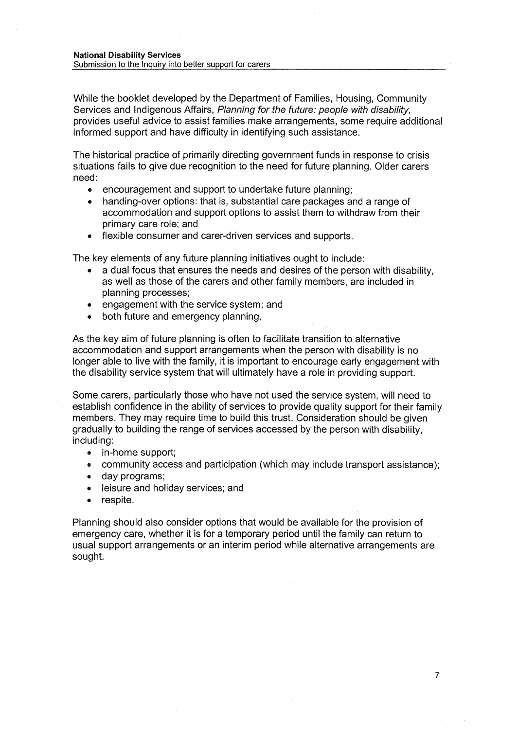While the booklet developed by the Department of Families, Housing, Community Services and Indigenous Affairs, Planning for the future: people with disability, provides useful advice to assist families make arrangements, some require additional informed support and have difficulty in identifying such assistance.

The historical practice of primarily directing government funds in response to crisis situations fails to give due recognition to the need for future planning. Older carers need:

- encouragement and support to undertake future planning;
- handing-over options: that is, substantial care packages and a range of accommodation and support options to assist them to withdraw from their primary care role; and
- flexible consumer and carer-driven services and supports.

The key elements of any future planning initiatives ought to include:

- a dual focus that ensures the needs and desires of the person with disability, as well as those of the carers and other family members, are included in planning processes;
- engagement with the service system; and
- both future and emergency planning.

As the key aim of future planning is often to facilitate transition to alternative accommodation and support arrangements when the person with disability is no longer able to live with the family, it is important to encourage early engagement with the disability service system that will ultimately have a role in providing support.

Some carers, particularly those who have not used the service system, will need to establish confidence in the ability of services to provide quality support for their family members. They may require time to build this trust. Consideration should be given gradually to building the range of services accessed by the person with disability, including:

- in-home support;
- community access and participation (which may include transport assistance);
- day programs;
- leisure and holiday services; and
- respite.

Planning should also consider options that would be available for the provision of emergency care, whether it is for a temporary period until the family can return to usual support arrangements or an interim period while alternative arrangements are sought.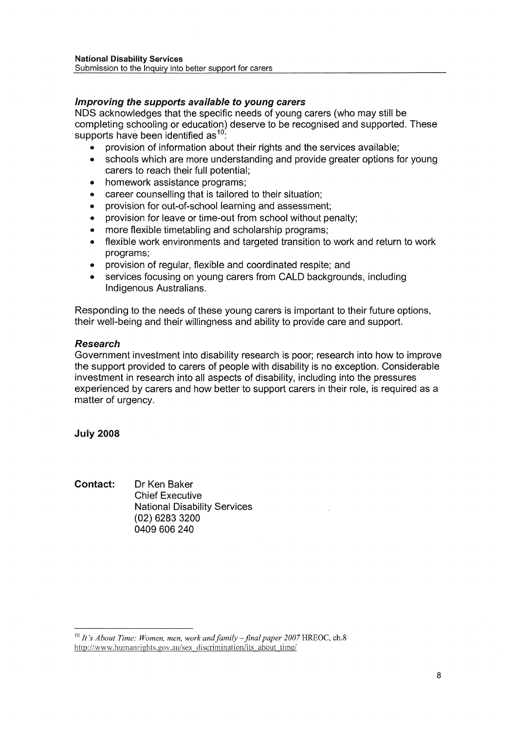# Improving the supports available to young carers

NDS acknowledges that the specific needs of young carers (who may still be completing schooling or education) deserve to be recognised and supported. These supports have been identified as  $10$ .

- provision of information about their rights and the services available;
- schools which are more understanding and provide greater options for young carers to reach their full potential;
- homework assistance programs;
- career counselling that is tailored to their situation;
- provision for out-of-school learning and assessment;
- « provision for leave or time-out from school without penalty;
- more flexible timetabling and scholarship programs;
- flexible work environments and targeted transition to work and return to work programs;
- provision of regular, flexible and coordinated respite; and
- services focusing on young carers from CALD backgrounds, including Indigenous Australians.

Responding to the needs of these young carers is important to their future options, their well-being and their willingness and ability to provide care and support.

# Research

Government investment into disability research is poor; research into how to improve the support provided to carers of people with disability is no exception. Considerable investment in research into all aspects of disability, including into the pressures experienced by carers and how better to support carers in their role, is required as a matter of urgency.

July 2008

Contact: Dr Ken Baker Chief Executive National Disability Services (02) 6283 3200 0409 606 240

<sup>&</sup>lt;sup>10</sup> It's About Time: Women, men, work and family – final paper 2007 HREOC, ch.8 http://www.humanrights.gov.au/sex discrimination/its\_about\_time/